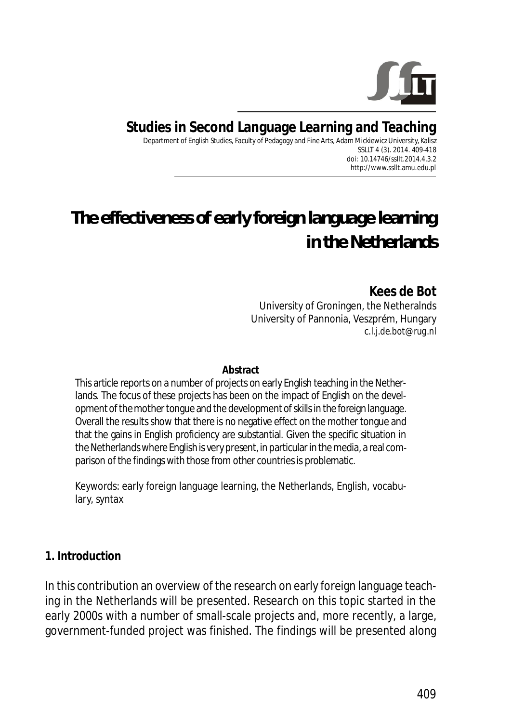

**Studies in Second Language Learning and Teaching**

Department of English Studies, Faculty of Pedagogy and Fine Arts, Adam Mickiewicz University, Kalisz SSLLT 4 (3). 2014. 409-418 *doi: 10.14746/ssllt.2014.4.3.2* http://www.ssllt.amu.edu.pl

# *The effectiveness of early foreign language learning in the Netherlands*

**Kees de Bot**  University of Groningen, the Netheralnds University of Pannonia, Veszprém, Hungary *c.l.j.de.bot@rug.nl*

**Abstract**

This article reports on a number of projects on early English teaching in the Netherlands. The focus of these projects has been on the impact of English on the development of the mother tongue and the development of skills in the foreign language. Overall the results show that there is no negative effect on the mother tongue and that the gains in English proficiency are substantial. Given the specific situation in the Netherlands where English is very present, in particular in the media, a real comparison of the findings with those from other countries is problematic.

*Keywords*: early foreign language learning, the Netherlands, English, vocabulary, syntax

#### **1. Introduction**

In this contribution an overview of the research on early foreign language teaching in the Netherlands will be presented. Research on this topic started in the early 2000s with a number of small-scale projects and, more recently, a large, government-funded project was finished. The findings will be presented along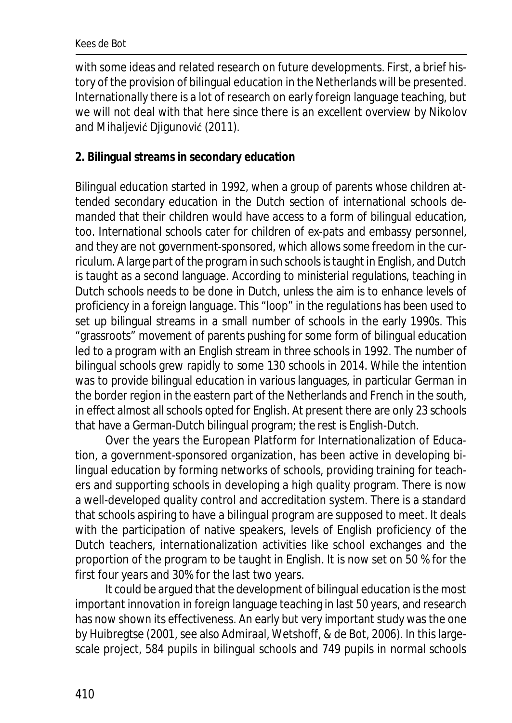with some ideas and related research on future developments. First, a brief history of the provision of bilingual education in the Netherlands will be presented. Internationally there is a lot of research on early foreign language teaching, but we will not deal with that here since there is an excellent overview by Nikolov and Mihaljević Djigunović (2011).

### **2. Bilingual streams in secondary education**

Bilingual education started in 1992, when a group of parents whose children attended secondary education in the Dutch section of international schools demanded that their children would have access to a form of bilingual education, too. International schools cater for children of ex-pats and embassy personnel, and they are not government-sponsored, which allows some freedom in the curriculum. A large part of the program in such schools is taught in English, and Dutch is taught as a second language. According to ministerial regulations, teaching in Dutch schools needs to be done in Dutch, unless the aim is to enhance levels of proficiency in a foreign language. This "loop" in the regulations has been used to set up bilingual streams in a small number of schools in the early 1990s. This "grassroots" movement of parents pushing for some form of bilingual education led to a program with an English stream in three schools in 1992. The number of bilingual schools grew rapidly to some 130 schools in 2014. While the intention was to provide bilingual education in various languages, in particular German in the border region in the eastern part of the Netherlands and French in the south, in effect almost all schools opted for English. At present there are only 23 schools that have a German-Dutch bilingual program; the rest is English-Dutch.

Over the years the European Platform for Internationalization of Education, a government-sponsored organization, has been active in developing bilingual education by forming networks of schools, providing training for teachers and supporting schools in developing a high quality program. There is now a well-developed quality control and accreditation system. There is a standard that schools aspiring to have a bilingual program are supposed to meet. It deals with the participation of native speakers, levels of English proficiency of the Dutch teachers, internationalization activities like school exchanges and the proportion of the program to be taught in English. It is now set on 50 % for the first four years and 30% for the last two years.

It could be argued that the development of bilingual education is the most important innovation in foreign language teaching in last 50 years, and research has now shown its effectiveness. An early but very important study was the one by Huibregtse (2001, see also Admiraal, Wetshoff, & de Bot, 2006). In this largescale project, 584 pupils in bilingual schools and 749 pupils in normal schools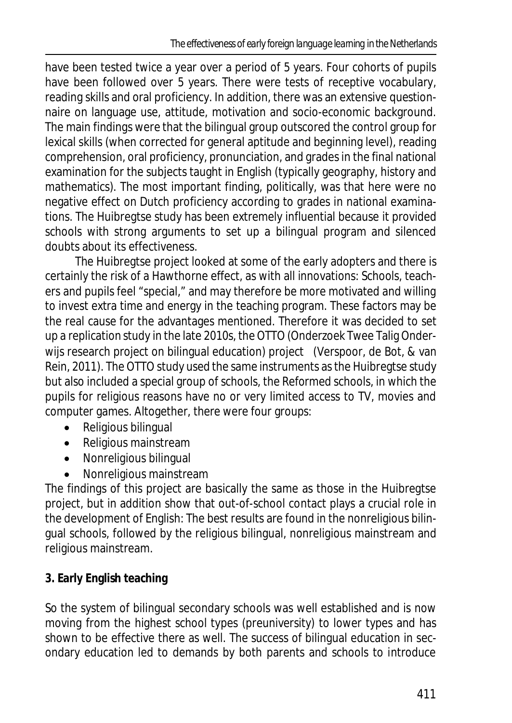have been tested twice a year over a period of 5 years. Four cohorts of pupils have been followed over 5 years. There were tests of receptive vocabulary, reading skills and oral proficiency. In addition, there was an extensive questionnaire on language use, attitude, motivation and socio-economic background. The main findings were that the bilingual group outscored the control group for lexical skills (when corrected for general aptitude and beginning level), reading comprehension, oral proficiency, pronunciation, and grades in the final national examination for the subjects taught in English (typically geography, history and mathematics). The most important finding, politically, was that here were no negative effect on Dutch proficiency according to grades in national examinations. The Huibregtse study has been extremely influential because it provided schools with strong arguments to set up a bilingual program and silenced doubts about its effectiveness.

The Huibregtse project looked at some of the early adopters and there is certainly the risk of a Hawthorne effect, as with all innovations: Schools, teachers and pupils feel "special," and may therefore be more motivated and willing to invest extra time and energy in the teaching program. These factors may be the real cause for the advantages mentioned. Therefore it was decided to set up a replication study in the late 2010s, the OTTO (Onderzoek Twee Talig Onderwijs research project on bilingual education) project (Verspoor, de Bot, & van Rein, 2011). The OTTO study used the same instruments as the Huibregtse study but also included a special group of schools, the Reformed schools, in which the pupils for religious reasons have no or very limited access to TV, movies and computer games. Altogether, there were four groups:

- Religious bilingual
- Religious mainstream
- Nonreligious bilingual
- Nonreligious mainstream

The findings of this project are basically the same as those in the Huibregtse project, but in addition show that out-of-school contact plays a crucial role in the development of English: The best results are found in the nonreligious bilingual schools, followed by the religious bilingual, nonreligious mainstream and religious mainstream.

# **3. Early English teaching**

So the system of bilingual secondary schools was well established and is now moving from the highest school types (preuniversity) to lower types and has shown to be effective there as well. The success of bilingual education in secondary education led to demands by both parents and schools to introduce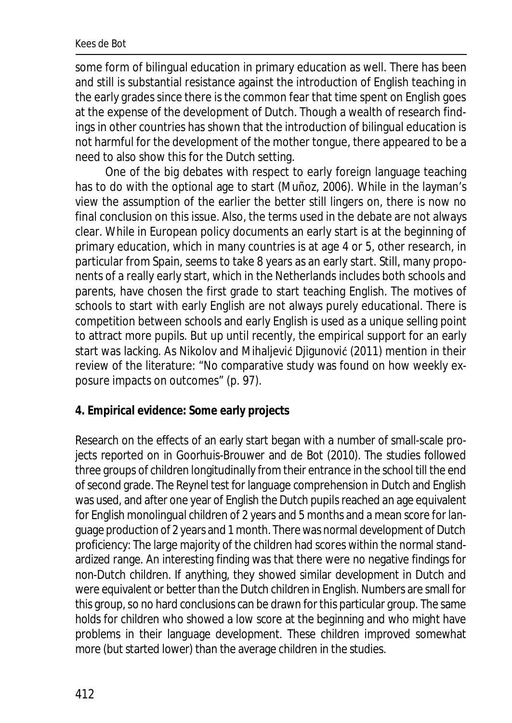#### Kees de Bot

some form of bilingual education in primary education as well. There has been and still is substantial resistance against the introduction of English teaching in the early grades since there is the common fear that time spent on English goes at the expense of the development of Dutch. Though a wealth of research findings in other countries has shown that the introduction of bilingual education is not harmful for the development of the mother tongue, there appeared to be a need to also show this for the Dutch setting.

One of the big debates with respect to early foreign language teaching has to do with the optional age to start (Muñoz, 2006). While in the layman's view the assumption of the earlier the better still lingers on, there is now no final conclusion on this issue. Also, the terms used in the debate are not always clear. While in European policy documents an early start is at the beginning of primary education, which in many countries is at age 4 or 5, other research, in particular from Spain, seems to take 8 years as an early start. Still, many proponents of a really early start, which in the Netherlands includes both schools and parents, have chosen the first grade to start teaching English. The motives of schools to start with early English are not always purely educational. There is competition between schools and early English is used as a unique selling point to attract more pupils. But up until recently, the empirical support for an early start was lacking. As Nikolov and Mihaljević Diigunović (2011) mention in their review of the literature: "No comparative study was found on how weekly exposure impacts on outcomes" (p. 97).

#### **4. Empirical evidence: Some early projects**

Research on the effects of an early start began with a number of small-scale projects reported on in Goorhuis-Brouwer and de Bot (2010). The studies followed three groups of children longitudinally from their entrance in the school till the end of second grade. The Reynel test for language comprehension in Dutch and English was used, and after one year of English the Dutch pupils reached an age equivalent for English monolingual children of 2 years and 5 months and a mean score for language production of 2 years and 1 month. There was normal development of Dutch proficiency: The large majority of the children had scores within the normal standardized range. An interesting finding was that there were no negative findings for non-Dutch children. If anything, they showed similar development in Dutch and were equivalent or better than the Dutch children in English. Numbers are small for this group, so no hard conclusions can be drawn for this particular group. The same holds for children who showed a low score at the beginning and who might have problems in their language development. These children improved somewhat more (but started lower) than the average children in the studies.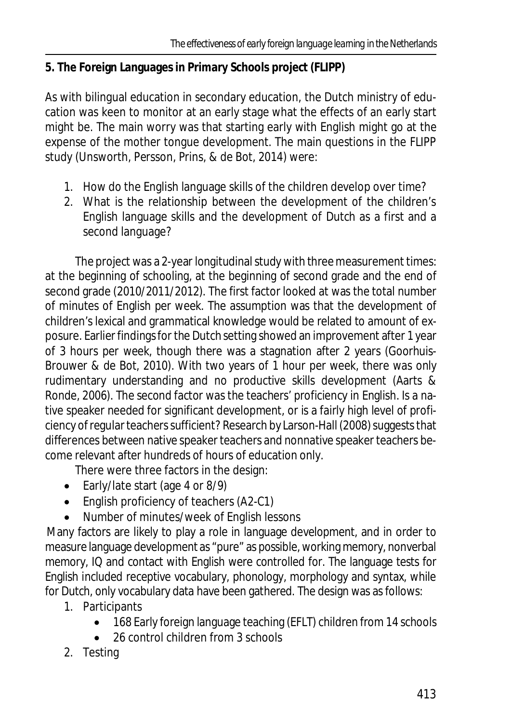## **5. The Foreign Languages in Primary Schools project (FLIPP)**

As with bilingual education in secondary education, the Dutch ministry of education was keen to monitor at an early stage what the effects of an early start might be. The main worry was that starting early with English might go at the expense of the mother tongue development. The main questions in the FLIPP study (Unsworth, Persson, Prins, & de Bot, 2014) were:

- 1. How do the English language skills of the children develop over time?
- 2. What is the relationship between the development of the children's English language skills and the development of Dutch as a first and a second language?

The project was a 2-year longitudinal study with three measurement times: at the beginning of schooling, at the beginning of second grade and the end of second grade (2010/2011/2012). The first factor looked at was the total number of minutes of English per week. The assumption was that the development of children's lexical and grammatical knowledge would be related to amount of exposure. Earlier findings for the Dutch setting showed an improvement after 1 year of 3 hours per week, though there was a stagnation after 2 years (Goorhuis-Brouwer & de Bot, 2010). With two years of 1 hour per week, there was only rudimentary understanding and no productive skills development (Aarts & Ronde, 2006). The second factor was the teachers' proficiency in English. Is a native speaker needed for significant development, or is a fairly high level of proficiency of regular teachers sufficient? Research by Larson-Hall (2008) suggests that differences between native speaker teachers and nonnative speaker teachers become relevant after hundreds of hours of education only.

There were three factors in the design:

- Early/late start (age 4 or 8/9)
- $\bullet$  English proficiency of teachers (A2-C1)
- Number of minutes/week of English lessons

Many factors are likely to play a role in language development, and in order to measure language development as "pure" as possible, working memory, nonverbal memory, IQ and contact with English were controlled for. The language tests for English included receptive vocabulary, phonology, morphology and syntax, while for Dutch, only vocabulary data have been gathered. The design was as follows:

- 1. Participants
	- 168 Early foreign language teaching (EFLT) children from 14 schools
	- 26 control children from 3 schools
- 2. Testing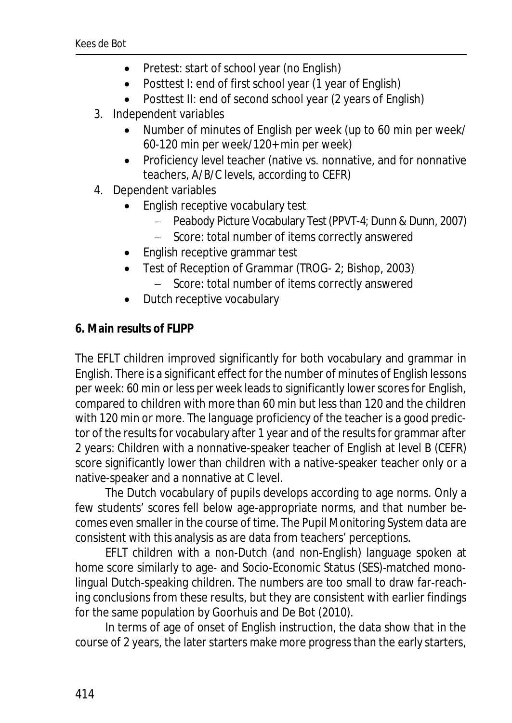- Pretest: start of school year (no English)
- Posttest I: end of first school year (1 year of English)
- Posttest II: end of second school year (2 years of English)
- 3. Independent variables
	- Number of minutes of English per week (up to 60 min per week/ 60-120 min per week/120+ min per week)
	- Proficiency level teacher (native vs. nonnative, and for nonnative teachers, A/B/C levels, according to CEFR)
- 4. Dependent variables
	- English receptive vocabulary test
		- Peabody Picture Vocabulary Test (PPVT-4; Dunn & Dunn, 2007)
		- Score: total number of items correctly answered
	- English receptive grammar test
	- Test of Reception of Grammar (TROG- 2; Bishop, 2003)
		- Score: total number of items correctly answered
	- Dutch receptive vocabulary
- **6. Main results of FLIPP**

The EFLT children improved significantly for both vocabulary and grammar in English. There is a significant effect for the number of minutes of English lessons per week: 60 min or less per week leads to significantly lower scores for English, compared to children with more than 60 min but less than 120 and the children with 120 min or more. The language proficiency of the teacher is a good predictor of the results for vocabulary after 1 year and of the results for grammar after 2 years: Children with a nonnative-speaker teacher of English at level B (CEFR) score significantly lower than children with a native-speaker teacher only or a native-speaker and a nonnative at C level.

The Dutch vocabulary of pupils develops according to age norms. Only a few students' scores fell below age-appropriate norms, and that number becomes even smaller in the course of time. The Pupil Monitoring System data are consistent with this analysis as are data from teachers' perceptions.

EFLT children with a non-Dutch (and non-English) language spoken at home score similarly to age- and Socio-Economic Status (SES)-matched monolingual Dutch-speaking children. The numbers are too small to draw far-reaching conclusions from these results, but they are consistent with earlier findings for the same population by Goorhuis and De Bot (2010).

In terms of age of onset of English instruction, the data show that in the course of 2 years, the later starters make more progress than the early starters,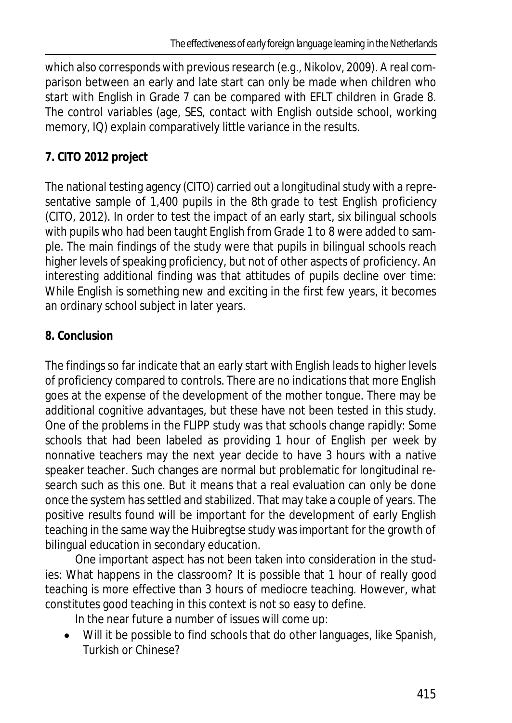which also corresponds with previous research (e.g., Nikolov, 2009). A real comparison between an early and late start can only be made when children who start with English in Grade 7 can be compared with EFLT children in Grade 8. The control variables (age, SES, contact with English outside school, working memory, IQ) explain comparatively little variance in the results.

## **7. CITO 2012 project**

The national testing agency (CITO) carried out a longitudinal study with a representative sample of 1,400 pupils in the 8th grade to test English proficiency (CITO, 2012). In order to test the impact of an early start, six bilingual schools with pupils who had been taught English from Grade 1 to 8 were added to sample. The main findings of the study were that pupils in bilingual schools reach higher levels of speaking proficiency, but not of other aspects of proficiency. An interesting additional finding was that attitudes of pupils decline over time: While English is something new and exciting in the first few years, it becomes an ordinary school subject in later years.

## **8. Conclusion**

The findings so far indicate that an early start with English leads to higher levels of proficiency compared to controls. There are no indications that more English goes at the expense of the development of the mother tongue. There may be additional cognitive advantages, but these have not been tested in this study. One of the problems in the FLIPP study was that schools change rapidly: Some schools that had been labeled as providing 1 hour of English per week by nonnative teachers may the next year decide to have 3 hours with a native speaker teacher. Such changes are normal but problematic for longitudinal research such as this one. But it means that a real evaluation can only be done once the system has settled and stabilized. That may take a couple of years. The positive results found will be important for the development of early English teaching in the same way the Huibregtse study was important for the growth of bilingual education in secondary education.

One important aspect has not been taken into consideration in the studies: What happens in the classroom? It is possible that 1 hour of really good teaching is more effective than 3 hours of mediocre teaching. However, what constitutes good teaching in this context is not so easy to define.

In the near future a number of issues will come up:

Will it be possible to find schools that do other languages, like Spanish, Turkish or Chinese?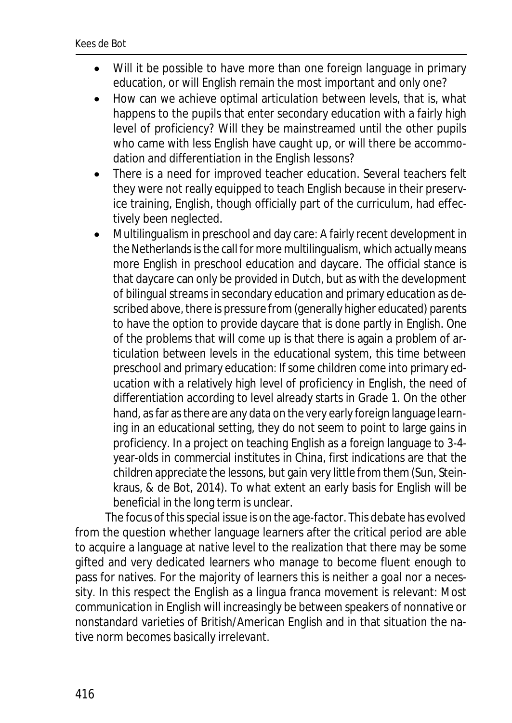- Will it be possible to have more than one foreign language in primary education, or will English remain the most important and only one?
- How can we achieve optimal articulation between levels, that is, what happens to the pupils that enter secondary education with a fairly high level of proficiency? Will they be mainstreamed until the other pupils who came with less English have caught up, or will there be accommodation and differentiation in the English lessons?
- There is a need for improved teacher education. Several teachers felt they were not really equipped to teach English because in their preservice training, English, though officially part of the curriculum, had effectively been neglected.
- Multilingualism in preschool and day care: A fairly recent development in the Netherlands is the call for more multilingualism, which actually means more English in preschool education and daycare. The official stance is that daycare can only be provided in Dutch, but as with the development of bilingual streams in secondary education and primary education as described above, there is pressure from (generally higher educated) parents to have the option to provide daycare that is done partly in English. One of the problems that will come up is that there is again a problem of articulation between levels in the educational system, this time between preschool and primary education: If some children come into primary education with a relatively high level of proficiency in English, the need of differentiation according to level already starts in Grade 1. On the other hand, as far as there are any data on the very early foreign language learning in an educational setting, they do not seem to point to large gains in proficiency. In a project on teaching English as a foreign language to 3-4 year-olds in commercial institutes in China, first indications are that the children appreciate the lessons, but gain very little from them (Sun, Steinkraus, & de Bot, 2014). To what extent an early basis for English will be beneficial in the long term is unclear.

The focus of this special issue is on the age-factor. This debate has evolved from the question whether language learners after the critical period are able to acquire a language at native level to the realization that there may be some gifted and very dedicated learners who manage to become fluent enough to pass for natives. For the majority of learners this is neither a goal nor a necessity. In this respect the English as a lingua franca movement is relevant: Most communication in English will increasingly be between speakers of nonnative or nonstandard varieties of British/American English and in that situation the native norm becomes basically irrelevant.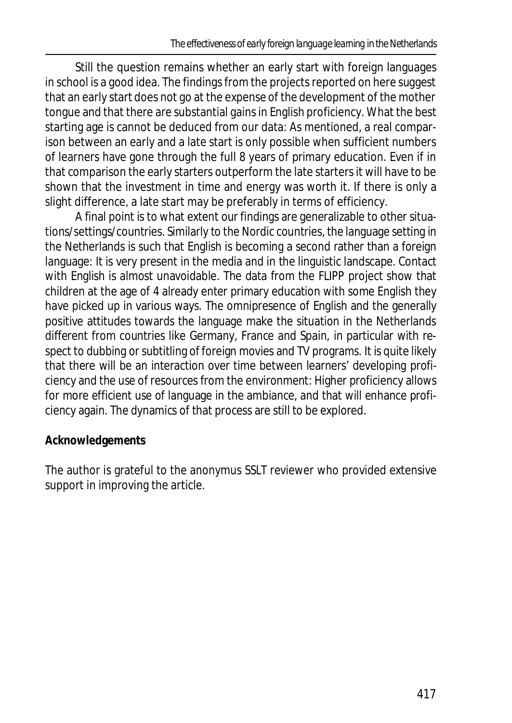Still the question remains whether an early start with foreign languages in school is a good idea. The findings from the projects reported on here suggest that an early start does not go at the expense of the development of the mother tongue and that there are substantial gains in English proficiency. What the best starting age is cannot be deduced from our data: As mentioned, a real comparison between an early and a late start is only possible when sufficient numbers of learners have gone through the full 8 years of primary education. Even if in that comparison the early starters outperform the late starters it will have to be shown that the investment in time and energy was worth it. If there is only a slight difference, a late start may be preferably in terms of efficiency.

A final point is to what extent our findings are generalizable to other situations/settings/countries. Similarly to the Nordic countries, the language setting in the Netherlands is such that English is becoming a second rather than a foreign language: It is very present in the media and in the linguistic landscape. Contact with English is almost unavoidable. The data from the FLIPP project show that children at the age of 4 already enter primary education with some English they have picked up in various ways. The omnipresence of English and the generally positive attitudes towards the language make the situation in the Netherlands different from countries like Germany, France and Spain, in particular with respect to dubbing or subtitling of foreign movies and TV programs. It is quite likely that there will be an interaction over time between learners' developing proficiency and the use of resources from the environment: Higher proficiency allows for more efficient use of language in the ambiance, and that will enhance proficiency again. The dynamics of that process are still to be explored.

## **Acknowledgements**

The author is grateful to the anonymus *SSLT* reviewer who provided extensive support in improving the article.